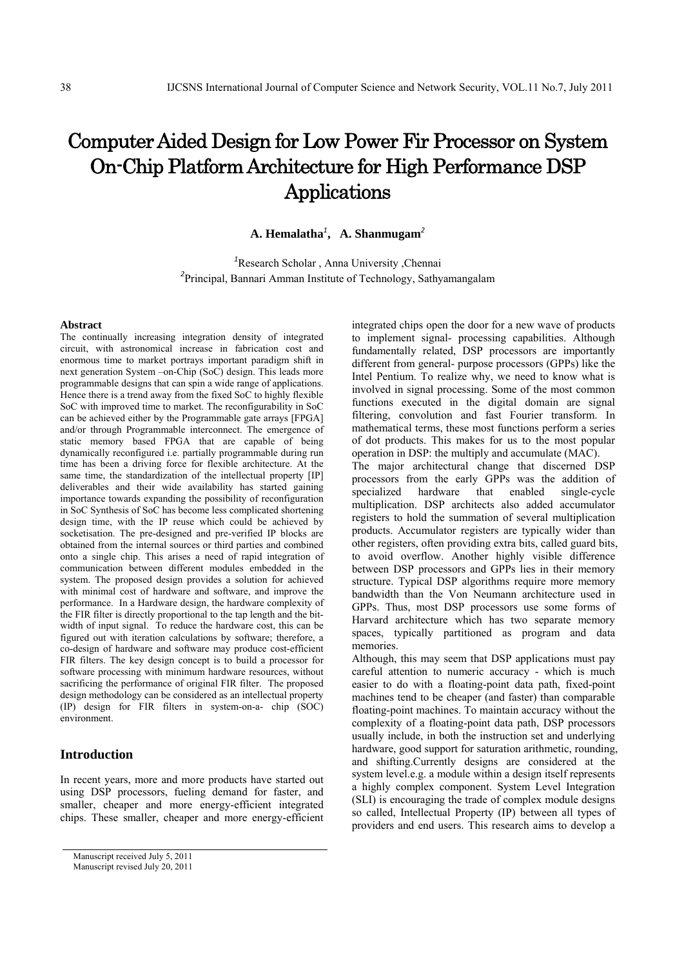# Computer Aided Design for Low Power Fir Processor on System On-Chip Platform Architecture for High Performance DSP Applications

**A. Hemalatha***<sup>1</sup>* **, A. Shanmugam***<sup>2</sup>*

*1* Research Scholar , Anna University ,Chennai *2* Principal, Bannari Amman Institute of Technology, Sathyamangalam

#### **Abstract**

The continually increasing integration density of integrated circuit, with astronomical increase in fabrication cost and enormous time to market portrays important paradigm shift in next generation System –on-Chip (SoC) design. This leads more programmable designs that can spin a wide range of applications. Hence there is a trend away from the fixed SoC to highly flexible SoC with improved time to market. The reconfigurability in SoC can be achieved either by the Programmable gate arrays [FPGA] and/or through Programmable interconnect. The emergence of static memory based FPGA that are capable of being dynamically reconfigured i.e. partially programmable during run time has been a driving force for flexible architecture. At the same time, the standardization of the intellectual property [IP] deliverables and their wide availability has started gaining importance towards expanding the possibility of reconfiguration in SoC Synthesis of SoC has become less complicated shortening design time, with the IP reuse which could be achieved by socketisation. The pre-designed and pre-verified IP blocks are obtained from the internal sources or third parties and combined onto a single chip. This arises a need of rapid integration of communication between different modules embedded in the system. The proposed design provides a solution for achieved with minimal cost of hardware and software, and improve the performance. In a Hardware design, the hardware complexity of the FIR filter is directly proportional to the tap length and the bitwidth of input signal. To reduce the hardware cost, this can be figured out with iteration calculations by software; therefore, a co-design of hardware and software may produce cost-efficient FIR filters. The key design concept is to build a processor for software processing with minimum hardware resources, without sacrificing the performance of original FIR filter. The proposed design methodology can be considered as an intellectual property (IP) design for FIR filters in system-on-a- chip (SOC) environment.

# **Introduction**

In recent years, more and more products have started out using DSP processors, fueling demand for faster, and smaller, cheaper and more energy-efficient integrated chips. These smaller, cheaper and more energy-efficient

integrated chips open the door for a new wave of products to implement signal- processing capabilities. Although fundamentally related, DSP processors are importantly different from general- purpose processors (GPPs) like the Intel Pentium. To realize why, we need to know what is involved in signal processing. Some of the most common functions executed in the digital domain are signal filtering, convolution and fast Fourier transform. In mathematical terms, these most functions perform a series of dot products. This makes for us to the most popular operation in DSP: the multiply and accumulate (MAC). The major architectural change that discerned DSP processors from the early GPPs was the addition of specialized hardware that enabled single-cycle multiplication. DSP architects also added accumulator registers to hold the summation of several multiplication products. Accumulator registers are typically wider than other registers, often providing extra bits, called guard bits, to avoid overflow. Another highly visible difference between DSP processors and GPPs lies in their memory structure. Typical DSP algorithms require more memory bandwidth than the Von Neumann architecture used in GPPs. Thus, most DSP processors use some forms of Harvard architecture which has two separate memory spaces, typically partitioned as program and data memories.

Although, this may seem that DSP applications must pay careful attention to numeric accuracy - which is much easier to do with a floating-point data path, fixed-point machines tend to be cheaper (and faster) than comparable floating-point machines. To maintain accuracy without the complexity of a floating-point data path, DSP processors usually include, in both the instruction set and underlying hardware, good support for saturation arithmetic, rounding, and shifting.Currently designs are considered at the system level.e.g. a module within a design itself represents a highly complex component. System Level Integration (SLI) is encouraging the trade of complex module designs so called, Intellectual Property (IP) between all types of providers and end users. This research aims to develop a

Manuscript received July 5, 2011 Manuscript revised July 20, 2011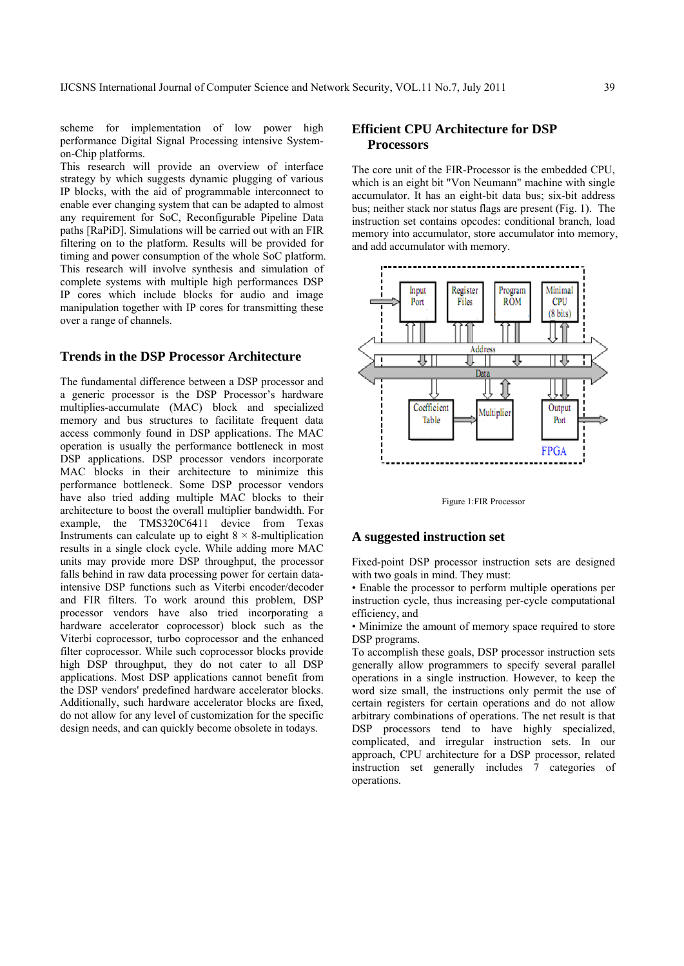scheme for implementation of low power high performance Digital Signal Processing intensive Systemon-Chip platforms.

This research will provide an overview of interface strategy by which suggests dynamic plugging of various IP blocks, with the aid of programmable interconnect to enable ever changing system that can be adapted to almost any requirement for SoC, Reconfigurable Pipeline Data paths [RaPiD]. Simulations will be carried out with an FIR filtering on to the platform. Results will be provided for timing and power consumption of the whole SoC platform. This research will involve synthesis and simulation of complete systems with multiple high performances DSP IP cores which include blocks for audio and image manipulation together with IP cores for transmitting these over a range of channels.

## **Trends in the DSP Processor Architecture**

The fundamental difference between a DSP processor and a generic processor is the DSP Processor's hardware multiplies-accumulate (MAC) block and specialized memory and bus structures to facilitate frequent data access commonly found in DSP applications. The MAC operation is usually the performance bottleneck in most DSP applications. DSP processor vendors incorporate MAC blocks in their architecture to minimize this performance bottleneck. Some DSP processor vendors have also tried adding multiple MAC blocks to their architecture to boost the overall multiplier bandwidth. For example, the TMS320C6411 device from Texas Instruments can calculate up to eight  $8 \times 8$ -multiplication results in a single clock cycle. While adding more MAC units may provide more DSP throughput, the processor falls behind in raw data processing power for certain dataintensive DSP functions such as Viterbi encoder/decoder and FIR filters. To work around this problem, DSP processor vendors have also tried incorporating a hardware accelerator coprocessor) block such as the Viterbi coprocessor, turbo coprocessor and the enhanced filter coprocessor. While such coprocessor blocks provide high DSP throughput, they do not cater to all DSP applications. Most DSP applications cannot benefit from the DSP vendors' predefined hardware accelerator blocks. Additionally, such hardware accelerator blocks are fixed, do not allow for any level of customization for the specific design needs, and can quickly become obsolete in todays.

# **Efficient CPU Architecture for DSP Processors**

The core unit of the FIR-Processor is the embedded CPU, which is an eight bit "Von Neumann" machine with single accumulator. It has an eight-bit data bus; six-bit address bus; neither stack nor status flags are present (Fig. 1). The instruction set contains opcodes: conditional branch, load memory into accumulator, store accumulator into memory, and add accumulator with memory.



Figure 1:FIR Processor

#### **A suggested instruction set**

Fixed-point DSP processor instruction sets are designed with two goals in mind. They must:

• Enable the processor to perform multiple operations per instruction cycle, thus increasing per-cycle computational efficiency, and

• Minimize the amount of memory space required to store DSP programs.

To accomplish these goals, DSP processor instruction sets generally allow programmers to specify several parallel operations in a single instruction. However, to keep the word size small, the instructions only permit the use of certain registers for certain operations and do not allow arbitrary combinations of operations. The net result is that DSP processors tend to have highly specialized, complicated, and irregular instruction sets. In our approach, CPU architecture for a DSP processor, related instruction set generally includes 7 categories of operations.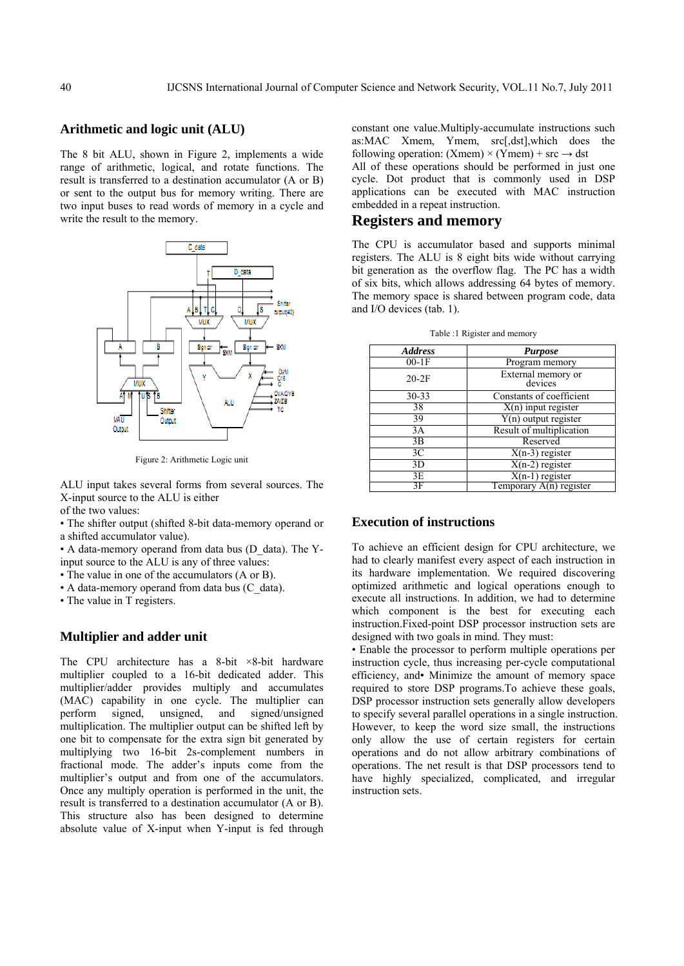#### **Arithmetic and logic unit (ALU)**

The 8 bit ALU, shown in Figure 2, implements a wide range of arithmetic, logical, and rotate functions. The result is transferred to a destination accumulator (A or B) or sent to the output bus for memory writing. There are two input buses to read words of memory in a cycle and write the result to the memory.



Figure 2: Arithmetic Logic unit

ALU input takes several forms from several sources. The X-input source to the ALU is either

of the two values:

• The shifter output (shifted 8-bit data-memory operand or a shifted accumulator value).

• A data-memory operand from data bus (D\_data). The Yinput source to the ALU is any of three values:

• The value in one of the accumulators (A or B).

• A data-memory operand from data bus (C\_data).

• The value in T registers.

#### **Multiplier and adder unit**

The CPU architecture has a 8-bit  $\times$ 8-bit hardware multiplier coupled to a 16-bit dedicated adder. This multiplier/adder provides multiply and accumulates (MAC) capability in one cycle. The multiplier can perform signed, unsigned, and signed/unsigned multiplication. The multiplier output can be shifted left by one bit to compensate for the extra sign bit generated by multiplying two 16-bit 2s-complement numbers in fractional mode. The adder's inputs come from the multiplier's output and from one of the accumulators. Once any multiply operation is performed in the unit, the result is transferred to a destination accumulator (A or B). This structure also has been designed to determine absolute value of X-input when Y-input is fed through

constant one value.Multiply-accumulate instructions such as:MAC Xmem, Ymem, src[,dst],which does the following operation: (Xmem)  $\times$  (Ymem) + src  $\rightarrow$  dst

All of these operations should be performed in just one cycle. Dot product that is commonly used in DSP applications can be executed with MAC instruction embedded in a repeat instruction.

# **Registers and memory**

The CPU is accumulator based and supports minimal registers. The ALU is 8 eight bits wide without carrying bit generation as the overflow flag. The PC has a width of six bits, which allows addressing 64 bytes of memory. The memory space is shared between program code, data and I/O devices (tab. 1).

Table :1 Rigister and memory

| <b>Address</b> | <b>Purpose</b>                |  |  |  |  |  |
|----------------|-------------------------------|--|--|--|--|--|
| $00-1F$        | Program memory                |  |  |  |  |  |
| $20-2F$        | External memory or<br>devices |  |  |  |  |  |
| $30 - 33$      | Constants of coefficient      |  |  |  |  |  |
| 38             | $X(n)$ input register         |  |  |  |  |  |
| 39             | $Y(n)$ output register        |  |  |  |  |  |
| 3A             | Result of multiplication      |  |  |  |  |  |
| 3B             | Reserved                      |  |  |  |  |  |
| 3 <sup>C</sup> | $\overline{X(n-3)}$ register  |  |  |  |  |  |
| 3D             | $X(n-2)$ register             |  |  |  |  |  |
| 3E             | $X(n-1)$ register             |  |  |  |  |  |
| 3F             | Temporary $A(n)$ register     |  |  |  |  |  |

## **Execution of instructions**

To achieve an efficient design for CPU architecture, we had to clearly manifest every aspect of each instruction in its hardware implementation. We required discovering optimized arithmetic and logical operations enough to execute all instructions. In addition, we had to determine which component is the best for executing each instruction.Fixed-point DSP processor instruction sets are designed with two goals in mind. They must:

• Enable the processor to perform multiple operations per instruction cycle, thus increasing per-cycle computational efficiency, and• Minimize the amount of memory space required to store DSP programs.To achieve these goals, DSP processor instruction sets generally allow developers to specify several parallel operations in a single instruction. However, to keep the word size small, the instructions only allow the use of certain registers for certain operations and do not allow arbitrary combinations of operations. The net result is that DSP processors tend to have highly specialized, complicated, and irregular instruction sets.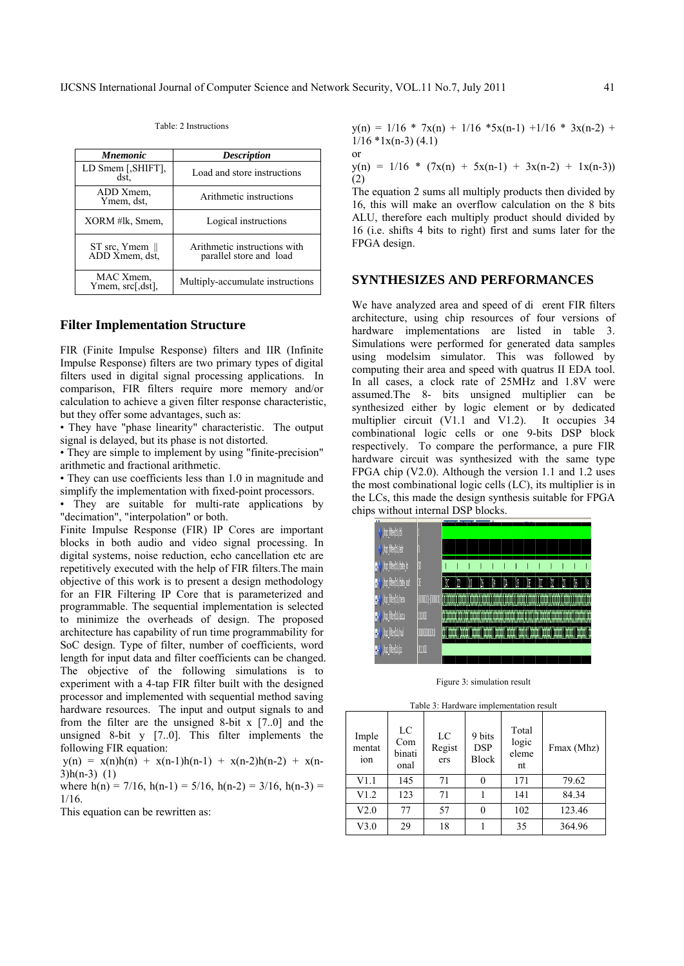or

| <i><b>Mnemonic</b></i>            | <b>Description</b>                                      |  |  |  |
|-----------------------------------|---------------------------------------------------------|--|--|--|
| LD Smem [, SHIFT],<br>dst.        | Load and store instructions                             |  |  |  |
| ADD Xmem.<br>Ymem, dst.           | Arithmetic instructions                                 |  |  |  |
| XORM #lk, Smem,                   | Logical instructions                                    |  |  |  |
| ST src, Ymem   <br>ADD Xmem, dst, | Arithmetic instructions with<br>parallel store and load |  |  |  |
| MAC Xmem.<br>Ymem, src[,dst],     | Multiply-accumulate instructions                        |  |  |  |

Table: 2 Instructions

#### **Filter Implementation Structure**

FIR (Finite Impulse Response) filters and IIR (Infinite Impulse Response) filters are two primary types of digital filters used in digital signal processing applications. In comparison, FIR filters require more memory and/or calculation to achieve a given filter response characteristic, but they offer some advantages, such as:

• They have "phase linearity" characteristic. The output signal is delayed, but its phase is not distorted.

• They are simple to implement by using "finite-precision" arithmetic and fractional arithmetic.

• They can use coefficients less than 1.0 in magnitude and simplify the implementation with fixed-point processors.

• They are suitable for multi-rate applications by "decimation", "interpolation" or both.

Finite Impulse Response (FIR) IP Cores are important blocks in both audio and video signal processing. In digital systems, noise reduction, echo cancellation etc are repetitively executed with the help of FIR filters.The main objective of this work is to present a design methodology for an FIR Filtering IP Core that is parameterized and programmable. The sequential implementation is selected to minimize the overheads of design. The proposed architecture has capability of run time programmability for SoC design. Type of filter, number of coefficients, word length for input data and filter coefficients can be changed. The objective of the following simulations is to experiment with a 4-tap FIR filter built with the designed processor and implemented with sequential method saving hardware resources. The input and output signals to and from the filter are the unsigned 8-bit  $x$  [7..0] and the unsigned 8-bit y [7..0]. This filter implements the following FIR equation:

 $y(n) = x(n)h(n) + x(n-1)h(n-1) + x(n-2)h(n-2) + x(n-1)$ 3)h(n-3) (1)

where  $h(n) = 7/16$ ,  $h(n-1) = 5/16$ ,  $h(n-2) = 3/16$ ,  $h(n-3) =$ 1/16.

This equation can be rewritten as:

 $y(n) = 1/16 * 7x(n) + 1/16 * 5x(n-1) + 1/16 * 3x(n-2) +$  $1/16$  \*1x(n-3) (4.1)

 $y(n) = 1/16 * (7x(n) + 5x(n-1) + 3x(n-2) + 1x(n-3))$ (2)

The equation 2 sums all multiply products then divided by 16, this will make an overflow calculation on the 8 bits ALU, therefore each multiply product should divided by 16 (i.e. shifts 4 bits to right) first and sums later for the FPGA design.

#### **SYNTHESIZES AND PERFORMANCES**

We have analyzed area and speed of dierent FIR filters architecture, using chip resources of four versions of hardware implementations are listed in table 3. Simulations were performed for generated data samples using modelsim simulator. This was followed by computing their area and speed with quatrus II EDA tool. In all cases, a clock rate of 25MHz and 1.8V were assumed.The 8- bits unsigned multiplier can be synthesized either by logic element or by dedicated multiplier circuit (V1.1 and V1.2). It occupies 34 combinational logic cells or one 9-bits DSP block respectively. To compare the performance, a pure FIR hardware circuit was synthesized with the same type FPGA chip (V2.0). Although the version 1.1 and 1.2 uses the most combinational logic cells (LC), its multiplier is in the LCs, this made the design synthesis suitable for FPGA chips without internal DSP blocks.

| <br>ho fiterbijdk                                      |               |   |                  |   |    |                                              |    |                              |   |   |   |   |  |
|--------------------------------------------------------|---------------|---|------------------|---|----|----------------------------------------------|----|------------------------------|---|---|---|---|--|
| ho fite/bl/adr                                         |               |   |                  |   |    |                                              |    |                              |   |   |   |   |  |
| <b>1-V</b> (top filter/b1/data_in                      | Ø             |   |                  |   |    |                                              |    |                              |   |   |   |   |  |
| <b>n-<math>\rlap{/}</math></b> (too filter/b1/deta_out | k             | W |                  | b | 'N | W.                                           | 10 | II                           | Ů | Ø | Ø | X |  |
| <b>1-V</b> (top filter/b1/meni                         |               |   |                  |   |    |                                              |    |                              |   |   |   |   |  |
| <b>1-4</b> (top_filter/b1/eccu                         | 10100         |   | <b>THE THE R</b> |   |    | <u> 1999 - Jan James Jan Jan Jan Jan Jan</u> |    |                              |   |   |   |   |  |
| <b>1-V</b> (top filter/b1/md                           | 0000001010    |   |                  |   |    |                                              |    | <b>The Contract Contract</b> |   |   |   |   |  |
| $\ket{\cdot}$ (to file bilg $\cdot$                    | <b>QUELOD</b> |   |                  |   |    |                                              |    |                              |   |   |   |   |  |
|                                                        |               |   |                  |   |    |                                              |    |                              |   |   |   |   |  |

Figure 3: simulation result

|  |  | Table 3: Hardware implementation result |  |
|--|--|-----------------------------------------|--|
|  |  |                                         |  |

| Imple<br>mentat<br>ion | LC<br>Com<br>binati<br>onal | LC<br>Regist<br>ers | 9 bits<br><b>DSP</b><br><b>Block</b> | Total<br>logic<br>eleme<br>nt | Fmax (Mhz) |  |  |
|------------------------|-----------------------------|---------------------|--------------------------------------|-------------------------------|------------|--|--|
| V1.1                   | 145                         | 71                  | 0                                    | 171                           | 79.62      |  |  |
| V1.2                   | 123                         | 71                  |                                      | 141                           | 84.34      |  |  |
| V2.0                   | 77                          | 57                  | 0                                    | 102                           | 123.46     |  |  |
| V3.0                   | 29                          | 18                  |                                      | 35                            | 364.96     |  |  |